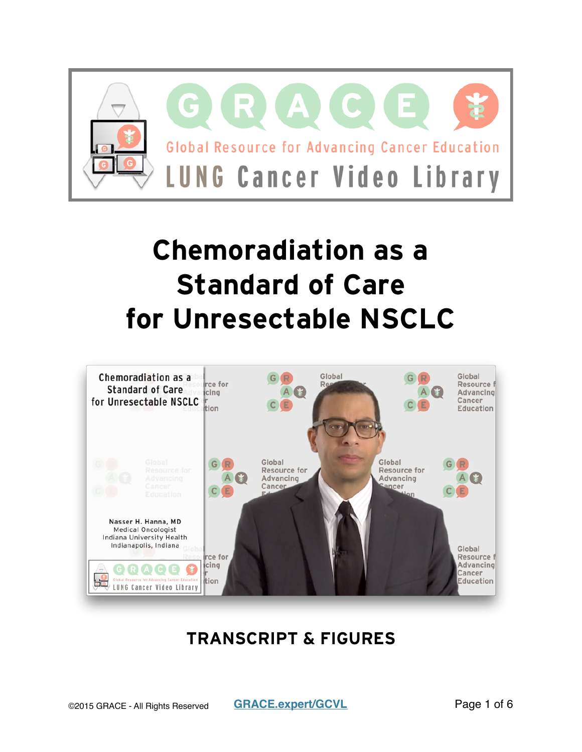

# **Chemoradiation as a Standard of Care for Unresectable NSCLC**



### **TRANSCRIPT & FIGURES**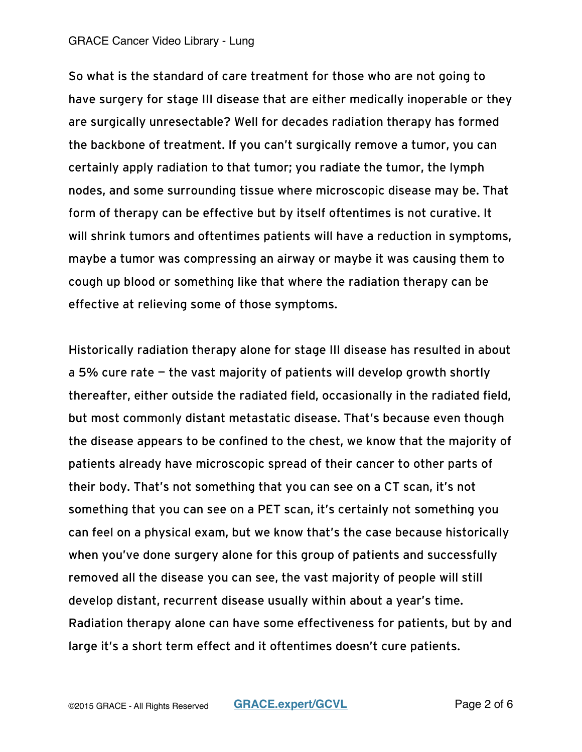#### GRACE Cancer Video Library - Lung

So what is the standard of care treatment for those who are not going to have surgery for stage III disease that are either medically inoperable or they are surgically unresectable? Well for decades radiation therapy has formed the backbone of treatment. If you can't surgically remove a tumor, you can certainly apply radiation to that tumor; you radiate the tumor, the lymph nodes, and some surrounding tissue where microscopic disease may be. That form of therapy can be effective but by itself oftentimes is not curative. It will shrink tumors and oftentimes patients will have a reduction in symptoms, maybe a tumor was compressing an airway or maybe it was causing them to cough up blood or something like that where the radiation therapy can be effective at relieving some of those symptoms.

Historically radiation therapy alone for stage III disease has resulted in about a 5% cure rate — the vast majority of patients will develop growth shortly thereafter, either outside the radiated field, occasionally in the radiated field, but most commonly distant metastatic disease. That's because even though the disease appears to be confined to the chest, we know that the majority of patients already have microscopic spread of their cancer to other parts of their body. That's not something that you can see on a CT scan, it's not something that you can see on a PET scan, it's certainly not something you can feel on a physical exam, but we know that's the case because historically when you've done surgery alone for this group of patients and successfully removed all the disease you can see, the vast majority of people will still develop distant, recurrent disease usually within about a year's time. Radiation therapy alone can have some effectiveness for patients, but by and large it's a short term effect and it oftentimes doesn't cure patients.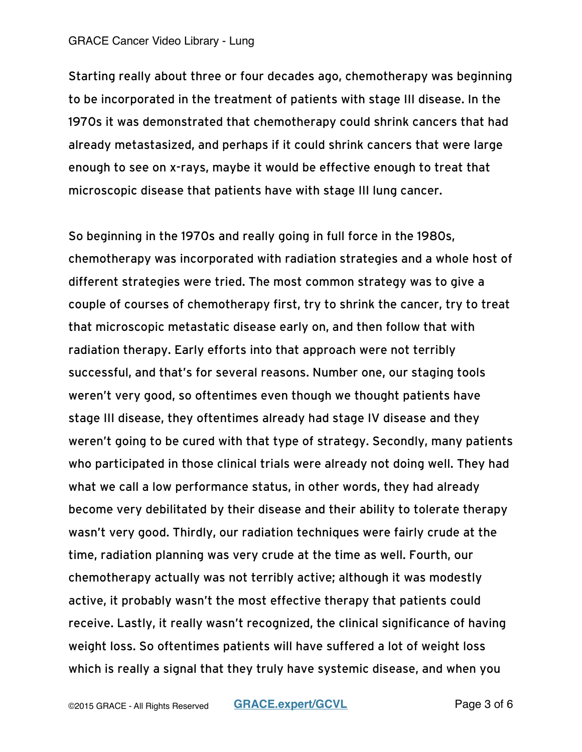#### GRACE Cancer Video Library - Lung

Starting really about three or four decades ago, chemotherapy was beginning to be incorporated in the treatment of patients with stage III disease. In the 1970s it was demonstrated that chemotherapy could shrink cancers that had already metastasized, and perhaps if it could shrink cancers that were large enough to see on x-rays, maybe it would be effective enough to treat that microscopic disease that patients have with stage III lung cancer.

So beginning in the 1970s and really going in full force in the 1980s, chemotherapy was incorporated with radiation strategies and a whole host of different strategies were tried. The most common strategy was to give a couple of courses of chemotherapy first, try to shrink the cancer, try to treat that microscopic metastatic disease early on, and then follow that with radiation therapy. Early efforts into that approach were not terribly successful, and that's for several reasons. Number one, our staging tools weren't very good, so oftentimes even though we thought patients have stage III disease, they oftentimes already had stage IV disease and they weren't going to be cured with that type of strategy. Secondly, many patients who participated in those clinical trials were already not doing well. They had what we call a low performance status, in other words, they had already become very debilitated by their disease and their ability to tolerate therapy wasn't very good. Thirdly, our radiation techniques were fairly crude at the time, radiation planning was very crude at the time as well. Fourth, our chemotherapy actually was not terribly active; although it was modestly active, it probably wasn't the most effective therapy that patients could receive. Lastly, it really wasn't recognized, the clinical significance of having weight loss. So oftentimes patients will have suffered a lot of weight loss which is really a signal that they truly have systemic disease, and when you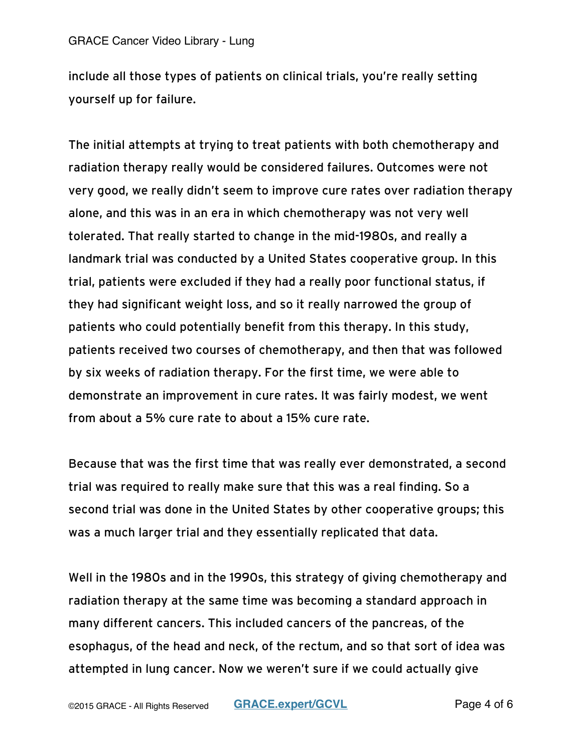include all those types of patients on clinical trials, you're really setting yourself up for failure.

The initial attempts at trying to treat patients with both chemotherapy and radiation therapy really would be considered failures. Outcomes were not very good, we really didn't seem to improve cure rates over radiation therapy alone, and this was in an era in which chemotherapy was not very well tolerated. That really started to change in the mid-1980s, and really a landmark trial was conducted by a United States cooperative group. In this trial, patients were excluded if they had a really poor functional status, if they had significant weight loss, and so it really narrowed the group of patients who could potentially benefit from this therapy. In this study, patients received two courses of chemotherapy, and then that was followed by six weeks of radiation therapy. For the first time, we were able to demonstrate an improvement in cure rates. It was fairly modest, we went from about a 5% cure rate to about a 15% cure rate.

Because that was the first time that was really ever demonstrated, a second trial was required to really make sure that this was a real finding. So a second trial was done in the United States by other cooperative groups; this was a much larger trial and they essentially replicated that data.

Well in the 1980s and in the 1990s, this strategy of giving chemotherapy and radiation therapy at the same time was becoming a standard approach in many different cancers. This included cancers of the pancreas, of the esophagus, of the head and neck, of the rectum, and so that sort of idea was attempted in lung cancer. Now we weren't sure if we could actually give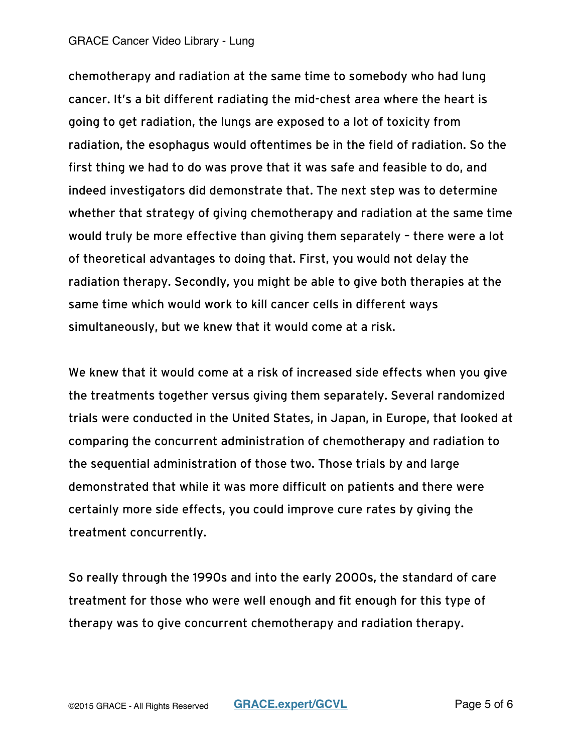#### GRACE Cancer Video Library - Lung

chemotherapy and radiation at the same time to somebody who had lung cancer. It's a bit different radiating the mid-chest area where the heart is going to get radiation, the lungs are exposed to a lot of toxicity from radiation, the esophagus would oftentimes be in the field of radiation. So the first thing we had to do was prove that it was safe and feasible to do, and indeed investigators did demonstrate that. The next step was to determine whether that strategy of giving chemotherapy and radiation at the same time would truly be more effective than giving them separately – there were a lot of theoretical advantages to doing that. First, you would not delay the radiation therapy. Secondly, you might be able to give both therapies at the same time which would work to kill cancer cells in different ways simultaneously, but we knew that it would come at a risk.

We knew that it would come at a risk of increased side effects when you give the treatments together versus giving them separately. Several randomized trials were conducted in the United States, in Japan, in Europe, that looked at comparing the concurrent administration of chemotherapy and radiation to the sequential administration of those two. Those trials by and large demonstrated that while it was more difficult on patients and there were certainly more side effects, you could improve cure rates by giving the treatment concurrently.

So really through the 1990s and into the early 2000s, the standard of care treatment for those who were well enough and fit enough for this type of therapy was to give concurrent chemotherapy and radiation therapy.